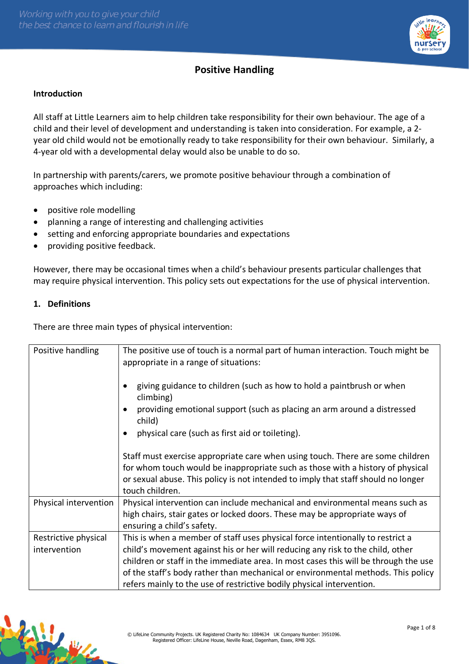

# **Positive Handling**

## **Introduction**

All staff at Little Learners aim to help children take responsibility for their own behaviour. The age of a child and their level of development and understanding is taken into consideration. For example, a 2 year old child would not be emotionally ready to take responsibility for their own behaviour. Similarly, a 4-year old with a developmental delay would also be unable to do so.

In partnership with parents/carers, we promote positive behaviour through a combination of approaches which including:

- positive role modelling
- planning a range of interesting and challenging activities
- setting and enforcing appropriate boundaries and expectations
- providing positive feedback.

However, there may be occasional times when a child's behaviour presents particular challenges that may require physical intervention. This policy sets out expectations for the use of physical intervention.

## **1. Definitions**

There are three main types of physical intervention:

| Positive handling     | The positive use of touch is a normal part of human interaction. Touch might be<br>appropriate in a range of situations:<br>giving guidance to children (such as how to hold a paintbrush or when<br>climbing)<br>providing emotional support (such as placing an arm around a distressed<br>child)<br>physical care (such as first aid or toileting).<br>Staff must exercise appropriate care when using touch. There are some children<br>for whom touch would be inappropriate such as those with a history of physical<br>or sexual abuse. This policy is not intended to imply that staff should no longer<br>touch children. |
|-----------------------|------------------------------------------------------------------------------------------------------------------------------------------------------------------------------------------------------------------------------------------------------------------------------------------------------------------------------------------------------------------------------------------------------------------------------------------------------------------------------------------------------------------------------------------------------------------------------------------------------------------------------------|
| Physical intervention | Physical intervention can include mechanical and environmental means such as                                                                                                                                                                                                                                                                                                                                                                                                                                                                                                                                                       |
|                       | high chairs, stair gates or locked doors. These may be appropriate ways of<br>ensuring a child's safety.                                                                                                                                                                                                                                                                                                                                                                                                                                                                                                                           |
| Restrictive physical  | This is when a member of staff uses physical force intentionally to restrict a                                                                                                                                                                                                                                                                                                                                                                                                                                                                                                                                                     |
| intervention          | child's movement against his or her will reducing any risk to the child, other                                                                                                                                                                                                                                                                                                                                                                                                                                                                                                                                                     |
|                       | children or staff in the immediate area. In most cases this will be through the use                                                                                                                                                                                                                                                                                                                                                                                                                                                                                                                                                |
|                       | of the staff's body rather than mechanical or environmental methods. This policy                                                                                                                                                                                                                                                                                                                                                                                                                                                                                                                                                   |
|                       | refers mainly to the use of restrictive bodily physical intervention.                                                                                                                                                                                                                                                                                                                                                                                                                                                                                                                                                              |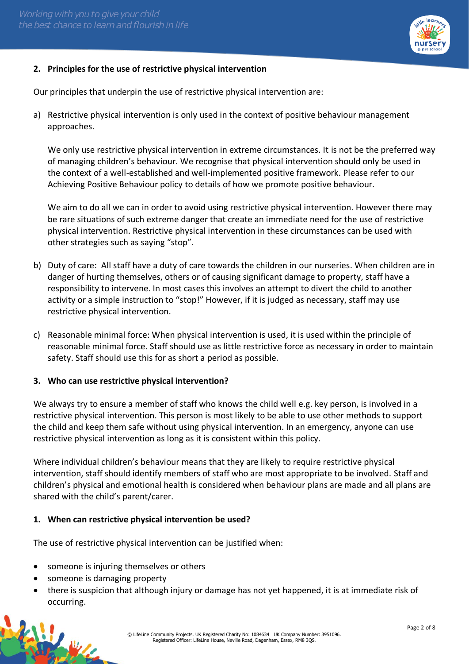

# **2. Principles for the use of restrictive physical intervention**

Our principles that underpin the use of restrictive physical intervention are:

a) Restrictive physical intervention is only used in the context of positive behaviour management approaches.

We only use restrictive physical intervention in extreme circumstances. It is not be the preferred way of managing children's behaviour. We recognise that physical intervention should only be used in the context of a well-established and well-implemented positive framework. Please refer to our Achieving Positive Behaviour policy to details of how we promote positive behaviour.

We aim to do all we can in order to avoid using restrictive physical intervention. However there may be rare situations of such extreme danger that create an immediate need for the use of restrictive physical intervention. Restrictive physical intervention in these circumstances can be used with other strategies such as saying "stop".

- b) Duty of care: All staff have a duty of care towards the children in our nurseries. When children are in danger of hurting themselves, others or of causing significant damage to property, staff have a responsibility to intervene. In most cases this involves an attempt to divert the child to another activity or a simple instruction to "stop!" However, if it is judged as necessary, staff may use restrictive physical intervention.
- c) Reasonable minimal force: When physical intervention is used, it is used within the principle of reasonable minimal force. Staff should use as little restrictive force as necessary in order to maintain safety. Staff should use this for as short a period as possible.

## **3. Who can use restrictive physical intervention?**

We always try to ensure a member of staff who knows the child well e.g. key person, is involved in a restrictive physical intervention. This person is most likely to be able to use other methods to support the child and keep them safe without using physical intervention. In an emergency, anyone can use restrictive physical intervention as long as it is consistent within this policy.

Where individual children's behaviour means that they are likely to require restrictive physical intervention, staff should identify members of staff who are most appropriate to be involved. Staff and children's physical and emotional health is considered when behaviour plans are made and all plans are shared with the child's parent/carer.

## **1. When can restrictive physical intervention be used?**

The use of restrictive physical intervention can be justified when:

- someone is injuring themselves or others
- someone is damaging property
- there is suspicion that although injury or damage has not yet happened, it is at immediate risk of occurring.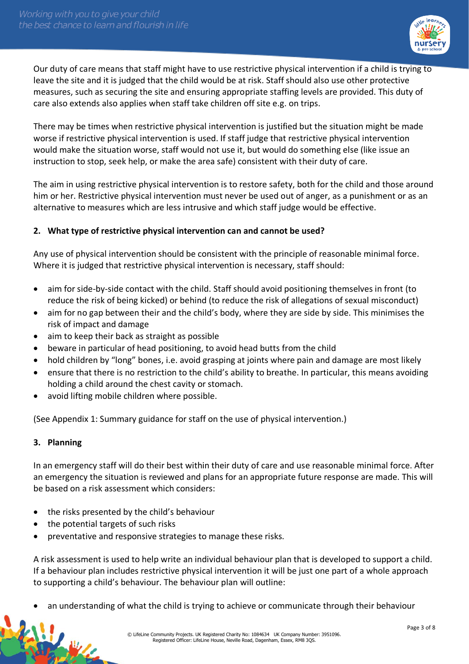

Our duty of care means that staff might have to use restrictive physical intervention if a child is trying to leave the site and it is judged that the child would be at risk. Staff should also use other protective measures, such as securing the site and ensuring appropriate staffing levels are provided. This duty of care also extends also applies when staff take children off site e.g. on trips.

There may be times when restrictive physical intervention is justified but the situation might be made worse if restrictive physical intervention is used. If staff judge that restrictive physical intervention would make the situation worse, staff would not use it, but would do something else (like issue an instruction to stop, seek help, or make the area safe) consistent with their duty of care.

The aim in using restrictive physical intervention is to restore safety, both for the child and those around him or her. Restrictive physical intervention must never be used out of anger, as a punishment or as an alternative to measures which are less intrusive and which staff judge would be effective.

# **2. What type of restrictive physical intervention can and cannot be used?**

Any use of physical intervention should be consistent with the principle of reasonable minimal force. Where it is judged that restrictive physical intervention is necessary, staff should:

- aim for side-by-side contact with the child. Staff should avoid positioning themselves in front (to reduce the risk of being kicked) or behind (to reduce the risk of allegations of sexual misconduct)
- aim for no gap between their and the child's body, where they are side by side. This minimises the risk of impact and damage
- aim to keep their back as straight as possible
- beware in particular of head positioning, to avoid head butts from the child
- hold children by "long" bones, i.e. avoid grasping at joints where pain and damage are most likely
- ensure that there is no restriction to the child's ability to breathe. In particular, this means avoiding holding a child around the chest cavity or stomach.
- avoid lifting mobile children where possible.

(See Appendix 1: Summary guidance for staff on the use of physical intervention.)

# **3. Planning**

松山

In an emergency staff will do their best within their duty of care and use reasonable minimal force. After an emergency the situation is reviewed and plans for an appropriate future response are made. This will be based on a risk assessment which considers:

- the risks presented by the child's behaviour
- the potential targets of such risks
- preventative and responsive strategies to manage these risks.

A risk assessment is used to help write an individual behaviour plan that is developed to support a child. If a behaviour plan includes restrictive physical intervention it will be just one part of a whole approach to supporting a child's behaviour. The behaviour plan will outline:

• an understanding of what the child is trying to achieve or communicate through their behaviour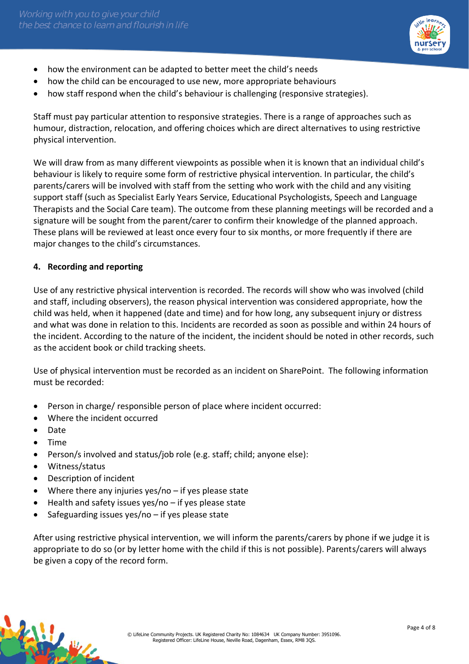

- how the environment can be adapted to better meet the child's needs
- how the child can be encouraged to use new, more appropriate behaviours
- how staff respond when the child's behaviour is challenging (responsive strategies).

Staff must pay particular attention to responsive strategies. There is a range of approaches such as humour, distraction, relocation, and offering choices which are direct alternatives to using restrictive physical intervention.

We will draw from as many different viewpoints as possible when it is known that an individual child's behaviour is likely to require some form of restrictive physical intervention. In particular, the child's parents/carers will be involved with staff from the setting who work with the child and any visiting support staff (such as Specialist Early Years Service, Educational Psychologists, Speech and Language Therapists and the Social Care team). The outcome from these planning meetings will be recorded and a signature will be sought from the parent/carer to confirm their knowledge of the planned approach. These plans will be reviewed at least once every four to six months, or more frequently if there are major changes to the child's circumstances.

# **4. Recording and reporting**

Use of any restrictive physical intervention is recorded. The records will show who was involved (child and staff, including observers), the reason physical intervention was considered appropriate, how the child was held, when it happened (date and time) and for how long, any subsequent injury or distress and what was done in relation to this. Incidents are recorded as soon as possible and within 24 hours of the incident. According to the nature of the incident, the incident should be noted in other records, such as the accident book or child tracking sheets.

Use of physical intervention must be recorded as an incident on SharePoint. The following information must be recorded:

- Person in charge/ responsible person of place where incident occurred:
- Where the incident occurred
- Date
- Time
- Person/s involved and status/job role (e.g. staff; child; anyone else):
- Witness/status
- Description of incident
- Where there any injuries yes/no if yes please state
- Health and safety issues yes/no if yes please state
- Safeguarding issues yes/no if yes please state

After using restrictive physical intervention, we will inform the parents/carers by phone if we judge it is appropriate to do so (or by letter home with the child if this is not possible). Parents/carers will always be given a copy of the record form.

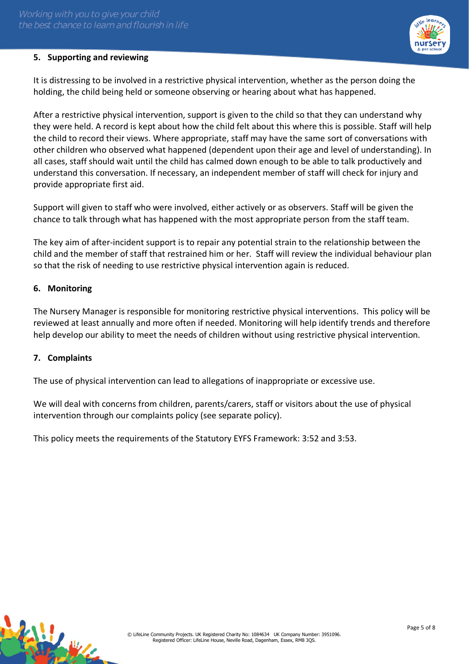

# **5. Supporting and reviewing**

It is distressing to be involved in a restrictive physical intervention, whether as the person doing the holding, the child being held or someone observing or hearing about what has happened.

After a restrictive physical intervention, support is given to the child so that they can understand why they were held. A record is kept about how the child felt about this where this is possible. Staff will help the child to record their views. Where appropriate, staff may have the same sort of conversations with other children who observed what happened (dependent upon their age and level of understanding). In all cases, staff should wait until the child has calmed down enough to be able to talk productively and understand this conversation. If necessary, an independent member of staff will check for injury and provide appropriate first aid.

Support will given to staff who were involved, either actively or as observers. Staff will be given the chance to talk through what has happened with the most appropriate person from the staff team.

The key aim of after-incident support is to repair any potential strain to the relationship between the child and the member of staff that restrained him or her. Staff will review the individual behaviour plan so that the risk of needing to use restrictive physical intervention again is reduced.

## **6. Monitoring**

The Nursery Manager is responsible for monitoring restrictive physical interventions. This policy will be reviewed at least annually and more often if needed. Monitoring will help identify trends and therefore help develop our ability to meet the needs of children without using restrictive physical intervention.

## **7. Complaints**

The use of physical intervention can lead to allegations of inappropriate or excessive use.

We will deal with concerns from children, parents/carers, staff or visitors about the use of physical intervention through our complaints policy (see separate policy).

This policy meets the requirements of the Statutory EYFS Framework: 3:52 and 3:53.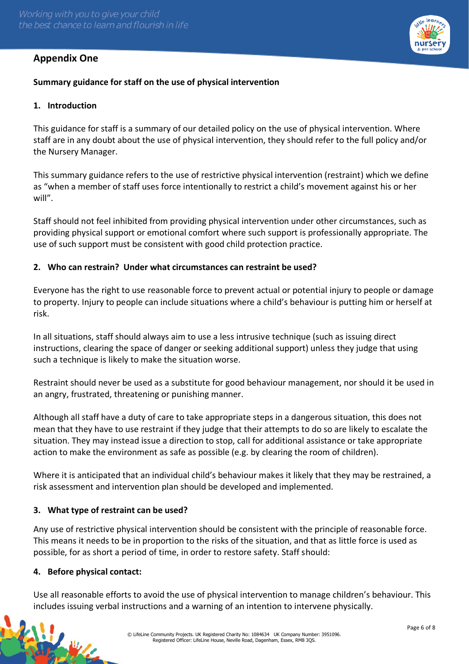# **Appendix One**



# **Summary guidance for staff on the use of physical intervention**

### **1. Introduction**

This guidance for staff is a summary of our detailed policy on the use of physical intervention. Where staff are in any doubt about the use of physical intervention, they should refer to the full policy and/or the Nursery Manager.

This summary guidance refers to the use of restrictive physical intervention (restraint) which we define as "when a member of staff uses force intentionally to restrict a child's movement against his or her will".

Staff should not feel inhibited from providing physical intervention under other circumstances, such as providing physical support or emotional comfort where such support is professionally appropriate. The use of such support must be consistent with good child protection practice.

#### **2. Who can restrain? Under what circumstances can restraint be used?**

Everyone has the right to use reasonable force to prevent actual or potential injury to people or damage to property. Injury to people can include situations where a child's behaviour is putting him or herself at risk.

In all situations, staff should always aim to use a less intrusive technique (such as issuing direct instructions, clearing the space of danger or seeking additional support) unless they judge that using such a technique is likely to make the situation worse.

Restraint should never be used as a substitute for good behaviour management, nor should it be used in an angry, frustrated, threatening or punishing manner.

Although all staff have a duty of care to take appropriate steps in a dangerous situation, this does not mean that they have to use restraint if they judge that their attempts to do so are likely to escalate the situation. They may instead issue a direction to stop, call for additional assistance or take appropriate action to make the environment as safe as possible (e.g. by clearing the room of children).

Where it is anticipated that an individual child's behaviour makes it likely that they may be restrained, a risk assessment and intervention plan should be developed and implemented.

## **3. What type of restraint can be used?**

Any use of restrictive physical intervention should be consistent with the principle of reasonable force. This means it needs to be in proportion to the risks of the situation, and that as little force is used as possible, for as short a period of time, in order to restore safety. Staff should:

#### **4. Before physical contact:**

Use all reasonable efforts to avoid the use of physical intervention to manage children's behaviour. This includes issuing verbal instructions and a warning of an intention to intervene physically.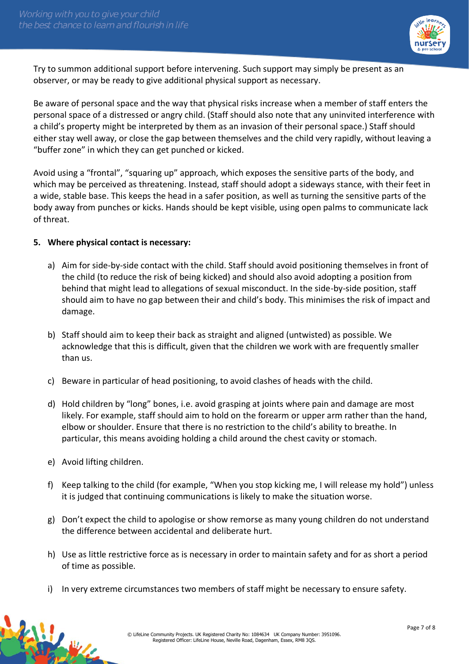

Try to summon additional support before intervening. Such support may simply be present as an observer, or may be ready to give additional physical support as necessary.

Be aware of personal space and the way that physical risks increase when a member of staff enters the personal space of a distressed or angry child. (Staff should also note that any uninvited interference with a child's property might be interpreted by them as an invasion of their personal space.) Staff should either stay well away, or close the gap between themselves and the child very rapidly, without leaving a "buffer zone" in which they can get punched or kicked.

Avoid using a "frontal", "squaring up" approach, which exposes the sensitive parts of the body, and which may be perceived as threatening. Instead, staff should adopt a sideways stance, with their feet in a wide, stable base. This keeps the head in a safer position, as well as turning the sensitive parts of the body away from punches or kicks. Hands should be kept visible, using open palms to communicate lack of threat.

## **5. Where physical contact is necessary:**

- a) Aim for side-by-side contact with the child. Staff should avoid positioning themselves in front of the child (to reduce the risk of being kicked) and should also avoid adopting a position from behind that might lead to allegations of sexual misconduct. In the side-by-side position, staff should aim to have no gap between their and child's body. This minimises the risk of impact and damage.
- b) Staff should aim to keep their back as straight and aligned (untwisted) as possible. We acknowledge that this is difficult, given that the children we work with are frequently smaller than us.
- c) Beware in particular of head positioning, to avoid clashes of heads with the child.
- d) Hold children by "long" bones, i.e. avoid grasping at joints where pain and damage are most likely. For example, staff should aim to hold on the forearm or upper arm rather than the hand, elbow or shoulder. Ensure that there is no restriction to the child's ability to breathe. In particular, this means avoiding holding a child around the chest cavity or stomach.
- e) Avoid lifting children.
- f) Keep talking to the child (for example, "When you stop kicking me, I will release my hold") unless it is judged that continuing communications is likely to make the situation worse.
- g) Don't expect the child to apologise or show remorse as many young children do not understand the difference between accidental and deliberate hurt.
- h) Use as little restrictive force as is necessary in order to maintain safety and for as short a period of time as possible.
- i) In very extreme circumstances two members of staff might be necessary to ensure safety.